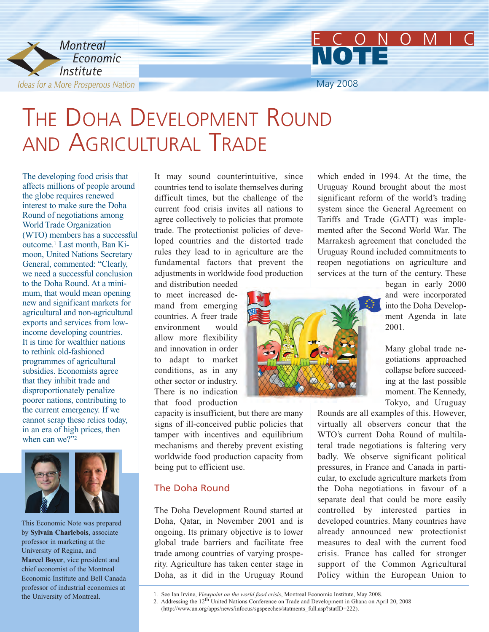

### May 2008 ECONOMIC **NOTE**

### THE DOHA DEVELOPMENT ROUND AND AGRICULTURAL TRADE

The developing food crisis that affects millions of people around the globe requires renewed interest to make sure the Doha Round of negotiations among World Trade Organization (WTO) members has a successful outcome.1 Last month, Ban Kimoon, United Nations Secretary General, commented: "Clearly, we need a successful conclusion to the Doha Round. At a minimum, that would mean opening new and significant markets for agricultural and non-agricultural exports and services from lowincome developing countries. It is time for wealthier nations to rethink old-fashioned programmes of agricultural subsidies. Economists agree that they inhibit trade and disproportionately penalize poorer nations, contributing to the current emergency. If we cannot scrap these relics today, in an era of high prices, then when can we?"<sup>2</sup>



This Economic Note was prepared by **Sylvain Charlebois**, associate professor in marketing at the University of Regina, and **Marcel Boyer**, vice president and chief economist of the Montreal Economic Institute and Bell Canada professor of industrial economics at the University of Montreal.

It may sound counterintuitive, since countries tend to isolate themselves during difficult times, but the challenge of the current food crisis invites all nations to agree collectively to policies that promote trade. The protectionist policies of developed countries and the distorted trade rules they lead to in agriculture are the fundamental factors that prevent the adjustments in worldwide food production and distribution needed

to meet increased demand from emerging countries. A freer trade environment would allow more flexibility and innovation in order to adapt to market conditions, as in any other sector or industry. There is no indication that food production

capacity is insufficient, but there are many signs of ill-conceived public policies that tamper with incentives and equilibrium mechanisms and thereby prevent existing worldwide food production capacity from being put to efficient use.

### The Doha Round

The Doha Development Round started at Doha, Qatar, in November 2001 and is ongoing. Its primary objective is to lower global trade barriers and facilitate free trade among countries of varying prosperity. Agriculture has taken center stage in Doha, as it did in the Uruguay Round

which ended in 1994. At the time, the Uruguay Round brought about the most significant reform of the world's trading system since the General Agreement on Tariffs and Trade (GATT) was implemented after the Second World War. The Marrakesh agreement that concluded the Uruguay Round included commitments to reopen negotiations on agriculture and services at the turn of the century. These

began in early 2000 and were incorporated into the Doha Development Agenda in late 2001.

Many global trade negotiations approached collapse before succeeding at the last possible moment. The Kennedy, Tokyo, and Uruguay

Rounds are all examples of this. However, virtually all observers concur that the WTO's current Doha Round of multilateral trade negotiations is faltering very badly. We observe significant political pressures, in France and Canada in particular, to exclude agriculture markets from the Doha negotiations in favour of a separate deal that could be more easily controlled by interested parties in developed countries. Many countries have already announced new protectionist measures to deal with the current food crisis. France has called for stronger support of the Common Agricultural Policy within the European Union to

<sup>1.</sup> See Ian Irvine, *Viewpoint on the world food crisis*, Montreal Economic Institute, May 2008.

<sup>2.</sup> Addressing the 12th United Nations Conference on Trade and Development in Ghana on April 20, 2008 (http://www.un.org/apps/news/infocus/sgspeeches/statments\_full.asp?statID=222).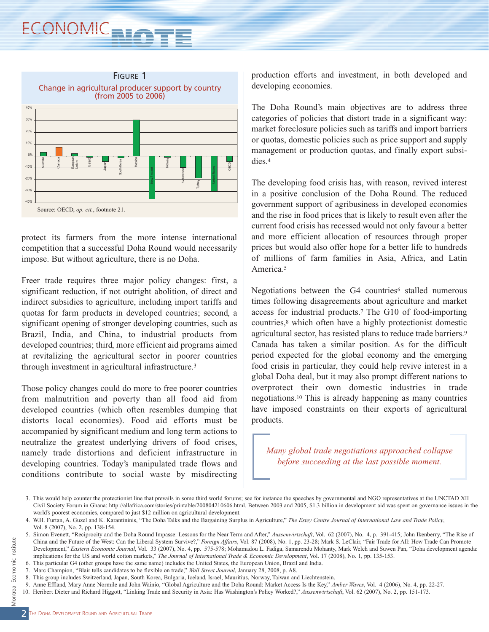# ECONOMIC<sub>NO</sub>



protect its farmers from the more intense international competition that a successful Doha Round would necessarily impose. But without agriculture, there is no Doha.

Freer trade requires three major policy changes: first, a significant reduction, if not outright abolition, of direct and indirect subsidies to agriculture, including import tariffs and quotas for farm products in developed countries; second, a significant opening of stronger developing countries, such as Brazil, India, and China, to industrial products from developed countries; third, more efficient aid programs aimed at revitalizing the agricultural sector in poorer countries through investment in agricultural infrastructure.3

Those policy changes could do more to free poorer countries from malnutrition and poverty than all food aid from developed countries (which often resembles dumping that distorts local economies). Food aid efforts must be accompanied by significant medium and long term actions to neutralize the greatest underlying drivers of food crises, namely trade distortions and deficient infrastructure in developing countries. Today's manipulated trade flows and conditions contribute to social waste by misdirecting

production efforts and investment, in both developed and developing economies.

The Doha Round's main objectives are to address three categories of policies that distort trade in a significant way: market foreclosure policies such as tariffs and import barriers or quotas, domestic policies such as price support and supply management or production quotas, and finally export subsidies.4

The developing food crisis has, with reason, revived interest in a positive conclusion of the Doha Round. The reduced government support of agribusiness in developed economies and the rise in food prices that is likely to result even after the current food crisis has recessed would not only favour a better and more efficient allocation of resources through proper prices but would also offer hope for a better life to hundreds of millions of farm families in Asia, Africa, and Latin America.5

Negotiations between the G4 countries<sup>6</sup> stalled numerous times following disagreements about agriculture and market access for industrial products.7 The G10 of food-importing countries,8 which often have a highly protectionist domestic agricultural sector, has resisted plans to reduce trade barriers.9 Canada has taken a similar position. As for the difficult period expected for the global economy and the emerging food crisis in particular, they could help revive interest in a global Doha deal, but it may also prompt different nations to overprotect their own domestic industries in trade negotiations.10 This is already happening as many countries have imposed constraints on their exports of agricultural products.

*Many global trade negotiations approached collapse before succeeding at the last possible moment.*

<sup>3.</sup> This would help counter the protectionist line that prevails in some third world forums; see for instance the speeches by governmental and NGO representatives at the UNCTAD XII Civil Society Forum in Ghana: http://allafrica.com/stories/printable/200804210606.html. Between 2003 and 2005, \$1.3 billion in development aid was spent on governance issues in the world's poorest economies, compared to just \$12 million on agricultural development.

<sup>4.</sup> W.H. Furtan, A. Guzel and K. Karantininis, "The Doha Talks and the Bargaining Surplus in Agriculture," *The Estey Centre Journal of International Law and Trade Policy*, Vol. 8 (2007), No. 2, pp. 138-154.

<sup>5.</sup> Simon Evenett, "Reciprocity and the Doha Round Impasse: Lessons for the Near Term and After," *Aussenwirtschaft*, Vol. 62 (2007), No. 4, p. 391-415; John Ikenberry, "The Rise of China and the Future of the West: Can the Liberal System Survive?," *Foreign Affairs*, Vol. 87 (2008), No. 1, pp. 23-28; Mark S. LeClair, "Fair Trade for All: How Trade Can Promote Development," *Eastern Economic Journal*, Vol. 33 (2007), No. 4, pp. 575-578; Mohamadou L. Fadiga, Samarendu Mohanty, Mark Welch and Suwen Pan, "Doha development agenda: implications for the US and world cotton markets," *The Journal of International Trade & Economic Development*, Vol. 17 (2008), No. 1, pp. 135-153.

<sup>6.</sup> This particular G4 (other groups have the same name) includes the United States, the European Union, Brazil and India.

<sup>7.</sup> Marc Champion, "Blair tells candidates to be flexible on trade," *Wall Street Journal*, January 28, 2008, p. A8.

<sup>8.</sup> This group includes Switzerland, Japan, South Korea, Bulgaria, Iceland, Israel, Mauritius, Norway, Taiwan and Liechtenstein.

<sup>9.</sup> Anne Effland, Mary Anne Normile and John Wainio, "Global Agriculture and the Doha Round: Market Access Is the Key," *Amber Waves*, Vol. 4 (2006), No. 4, pp. 22-27.

<sup>10.</sup> Heribert Dieter and Richard Higgott, "Linking Trade and Security in Asia: Has Washington's Policy Worked?," *Aussenwirtschaft*, Vol. 62 (2007), No. 2, pp. 151-173.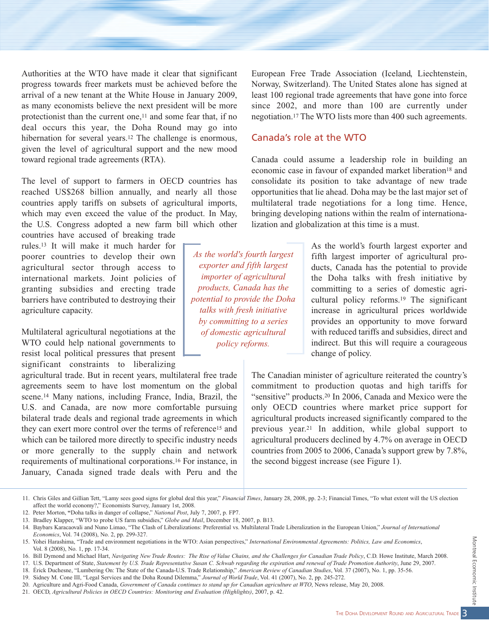Authorities at the WTO have made it clear that significant progress towards freer markets must be achieved before the arrival of a new tenant at the White House in January 2009, as many economists believe the next president will be more protectionist than the current one,<sup>11</sup> and some fear that, if no deal occurs this year, the Doha Round may go into hibernation for several years.<sup>12</sup> The challenge is enormous, given the level of agricultural support and the new mood toward regional trade agreements (RTA).

The level of support to farmers in OECD countries has reached US\$268 billion annually, and nearly all those countries apply tariffs on subsets of agricultural imports, which may even exceed the value of the product. In May, the U.S. Congress adopted a new farm bill which other

countries have accused of breaking trade rules.13 It will make it much harder for poorer countries to develop their own agricultural sector through access to international markets. Joint policies of granting subsidies and erecting trade barriers have contributed to destroying their agriculture capacity.

Multilateral agricultural negotiations at the WTO could help national governments to resist local political pressures that present significant constraints to liberalizing

agricultural trade. But in recent years, multilateral free trade agreements seem to have lost momentum on the global scene.14 Many nations, including France, India, Brazil, the U.S. and Canada, are now more comfortable pursuing bilateral trade deals and regional trade agreements in which they can exert more control over the terms of reference15 and which can be tailored more directly to specific industry needs or more generally to the supply chain and network requirements of multinational corporations.16 For instance, in January, Canada signed trade deals with Peru and the

European Free Trade Association (Iceland, Liechtenstein, Norway, Switzerland). The United States alone has signed at least 100 regional trade agreements that have gone into force since 2002, and more than 100 are currently under negotiation.17 The WTO lists more than 400 such agreements.

#### Canada's role at the WTO

Canada could assume a leadership role in building an economic case in favour of expanded market liberation<sup>18</sup> and consolidate its position to take advantage of new trade opportunities that lie ahead. Doha may be the last major set of multilateral trade negotiations for a long time. Hence, bringing developing nations within the realm of internationalization and globalization at this time is a must.

*As the world's fourth largest exporter and fifth largest importer of agricultural products, Canada has the potential to provide the Doha talks with fresh initiative by committing to a series of domestic agricultural policy reforms.*

As the world's fourth largest exporter and fifth largest importer of agricultural products, Canada has the potential to provide the Doha talks with fresh initiative by committing to a series of domestic agricultural policy reforms.19 The significant increase in agricultural prices worldwide provides an opportunity to move forward with reduced tariffs and subsidies, direct and indirect. But this will require a courageous change of policy.

The Canadian minister of agriculture reiterated the country's commitment to production quotas and high tariffs for "sensitive" products.20 In 2006, Canada and Mexico were the only OECD countries where market price support for agricultural products increased significantly compared to the previous year.21 In addition, while global support to agricultural producers declined by 4.7% on average in OECD countries from 2005 to 2006, Canada's support grew by 7.8%, the second biggest increase (see Figure 1).

<sup>11.</sup> Chris Giles and Gillian Tett, "Lamy sees good signs for global deal this year," *Financial Times*, January 28, 2008, pp. 2-3; Financial Times, "To what extent will the US election affect the world economy?," Economists Survey, January 1st, 2008.

<sup>12.</sup> Peter Morton, **"**Doha talks in danger of collapse," *National Post*, July 7, 2007, p. FP7.

<sup>13.</sup> Bradley Klapper, "WTO to probe US farm subsidies," *Globe and Mail*, December 18, 2007, p. B13.

<sup>14.</sup> Baybars Karacaovali and Nuno Limao, "The Clash of Liberalizations: Preferential vs. Multilateral Trade Liberalization in the European Union," *Journal of International Economics*, Vol. 74 (2008), No. 2, pp. 299-327.

<sup>15.</sup> Yohei Harashima, "Trade and environment negotiations in the WTO: Asian perspectives," *International Environmental Agreements: Politics, Law and Economics*, Vol. 8 (2008), No. 1, pp. 17-34.

<sup>16.</sup> Bill Dymond and Michael Hart, *Navigating New Trade Routes: The Rise of Value Chains, and the Challenges for Canadian Trade Policy*, C.D. Howe Institute, March 2008.

<sup>17.</sup> U.S. Department of State, Statement by U.S. Trade Representative Susan C. Schwab regarding the expiration and renewal of Trade Promotion Authority, June 29, 2007.

<sup>18.</sup> Érick Duchesne, "Lumbering On: The State of the Canada-U.S. Trade Relationship," *American Review of Canadian Studies*, Vol. 37 (2007), No. 1, pp. 35-56.

<sup>19.</sup> Sidney M. Cone III, "Legal Services and the Doha Round Dilemma," *Journal of World Trade*, Vol. 41 (2007), No. 2, pp. 245-272.

<sup>20.</sup> Agriculture and Agri-Food Canada, *Government of Canada continues to stand up for Canadian agriculture at WTO*, News release, May 20, 2008.

<sup>21.</sup> OECD, *Agricultural Policies in OECD Countries: Monitoring and Evaluation (Highlights)*, 2007, p. 42.